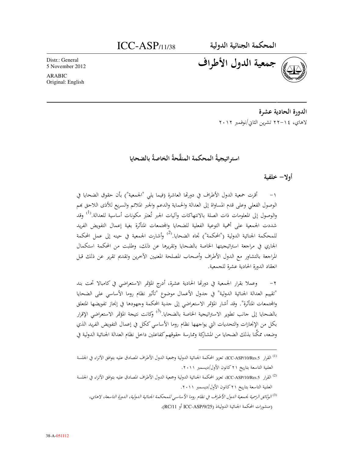Distr.: General 5 November 2012

**ARABIC** Original: English

جمعية الدول الأطراف

الدورة الحادية عشرة لاهاي، ٢٠١٤ تشرين الثاني/نوفمبر ٢٠١٢

استراتيجيةُ المحكمة المنقَّحةُ الخاصةُ بالضحايا

أولا– خلفية

١– أقرت حمعية الدول الأطراف في دورتما العاشرة (فيما يلي "الجمعية") بأن حقوق الضحايا في الوصول الفعلى وعلى قدم المساواة إلى العدالة والحماية والدعم والجبر الملائم والسريع للأذى اللاحق بمم والوصول إلى المعلومات ذات الصلة بالانتهاكات وآليات الجبر تُعتبَر مكونات أساسية للعدالة.<sup>(1)</sup> وقد شددت الجمعية على أهمية التوعية الفعلية للضحايا والمجتمعات المتأثرة بغية إعمال التفويض الفريد للمحكمة الجنائية الدولية ("المحكمة") تجاه الضحايا.<sup>(2)</sup> وأشارت الجمعية في حينه إلى عمل المحكمة الجاري في مراجعة استراتيجيتها الخاصة بالضحايا وتقريرها عن ذلك، وطلبت من المحكمة استكمال المراجعة بالتشاور مع الدول الأطراف وأصحاب المصلحة المعنيين الآخرين وتقديم تقرير عن ذلك قبل انعقاد الدورة الحادية عشرة للجمعية.

وعملا بقرار الجمعية في دورتها الحادية عشرة، أدرج المؤتمر الاستعراضي في كامبالا تحت بند "تقييم العدالة الجنائية الدولية" في جدول الأعمال موضوع "تأثير نظام روما الأساسي على الضحايا والمجتمعات المتأثرة". وقد أشار المؤتمر الاستعراضي إلى جدية المحكمة وجمهودها في إنجاز تفويضها المتعلق بالضحايا إلى جانب تطوير الاستراتيجية الخاصة بالضحايا.<sup>(3)</sup> وكانت نتيجة المؤتمر الاستعراضي الإقرار بكل من الإنجازات والتحديات التي يواجهها نظام روما الأساسي ككل في إعمال التفويض الفريد الذي وضعه، ممكَّنا بذلك الضحايا من المشاركة وممارسة حقوقهم كفاعلين داخل نظام العدالة الجنائية الدولية في

العلنية التاسعة بتاريخ ٢١ كانون الأول/ديسمبر ٢٠١١.

العلنية التاسعة بتاريخ ٢١ كانون الأول/ديسمبر ٢٠١١.

<sup>&</sup>lt;sup>(3)</sup>الوثائق الرسمية لجمعية اللول الأطراف في نظام روما الأساسي للمحكمة الجنائية اللولية، اللورة التاسعة، لاهاي، (منشورات المحكمة الجنائية الدوليةذ (ICC-ASP/9/25 أو RC/11).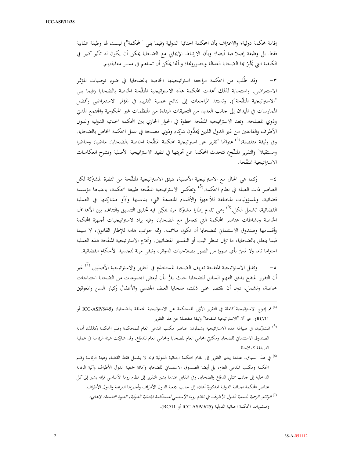إقامة محكمة دولية؛ والاعتراف بأن المحكمة الجنائية الدولية (فيما يلي "المحكمة") ليست لها وظيفة عقابية فقط بل وظيفة إصلاحية أيضا؛ وبأن الارتباط الإيجابي مع الضحايا يمكن أن يكون له تأثير كبير في الكيفية التي يَخْبِرُ بِما الضحايا العدالة ويتصورونها؛ وبأنها يمكن أن تساهم في مسار معالجتهم.

وقد طُلبٍ من المحكمة مراجعة استراتيجيتها الخاصة بالضحايا في ضوءٍ توصيات المؤتمر  $-\tau$ الاستعراضي. واستحابة لذلك أعدت المحكمة هذه الاستراتيجية المنقَّحة الخاصة بالضحايا (فيما يلي "الاستراتيجية المنقَّحة"). وتستند المراجعات إلى نتائج عملية التقييم في المؤتمر الاستعراضي وأفضل الممارسات في الميدان إلى جانب العديد من التعليقات البناءة من المنظمات غير الحكومية والمحتمع المدبي وذوي المصلحة. وتعد الاستراتيجية المنقَّحة خطوة في الحوار الجاري بين المحكمة الجنائية الدولية والدول الأطراف والفاعلين من غير الدول الذين يُعدُّون شركاء وذوي مصلحة في عمل المحكمة الخاص بالضحايا. وفي وثيقة منفصلة،<sup>(4)</sup> عنوانُّا "تقرير عن استراتيجية المحكمة المنقَّحة الخاصة بالضحايا: ماضيا، وحاضرا ومستقبلا" (التقرير المنقّح) تتحدث المحكمة عن تجربتها في تنفيذ الاستراتيجية الأصلية وتشرح انعكاسات الاستراتيجية المنقّحة.

وكما هي الحال مع الاستراتيجية الأصلية، تنبثق الاستراتيجية المنقَّحة من النظرة المشتركة لكل  $-\epsilon$ العناصر ذات الصلة في نظام المحكمة.<sup>(5</sup>) وتعكس الاستراتيجية المنقّحة طبيعة المحكمة، باعتباها مؤسسة قضائية، والمسؤوليات المختلفة للأجهزة والأقسام المتعددة التي، بدعمها و/أو مشاركتها في العملية القضائية، تشمل الكل.<sup>(6)</sup> وهي تقدم إطارا مشتركا مرنا يمكِن فيه تحقيق التنسيق والتناغم بين الأهداف الخاصة ونشاطات عناصر المحكمة التي تتعامل مع الضحايا، وفيه يراد لاستراتيجيات أجهزة المحكمة وأقسامها وصندوق الاستئماني للضحايا أن تكون ملائمة. وثمة جوانب هامة للإطار القانوني، لا سيما فيما يتعلق بالضحايا، ما تزال تنتظر البت أو التفسير القضائيين. وتحترم الاستراتيجية المنقّحة هذه العملية احتراما تاما ولا تمسّ بأي صورة من الصور بصلاحيات الدوائر، وتبقى مرنة لتجسيد الأحكام القضائية.

وتَقبل الاستراتيجية المنقحة تعريف الضحية المستخدَم في التقرير والاستراتيجية الأصليين.<sup>(7)</sup> غير  $-c$ أن التقرير المنقح يدقق الفهم السابق للضحايا حيث يقرُّ بأن لبعض المجموعات من الضحايا احتياجات خاصة، وتشمل، دون أن تقتصر على ذلك، ضحايا العنف الجنسي والأطفال وكبار السن والمعوقين

- <sup>(3)</sup> المشاركون في صياغة هذه الاستراتيحية يشملون: عناصر مكتب المدعي العام للمحكمة وقلم المحكمة وكذلك أمانة الصندوق الاستئماني للضحايا ومكتبًى المحامي العام للضحايا والمحامي العام للدفاع. وقد شاركت هيئة الرئاسة في عملية الصياغة كملاحظ.
- <sup>6)</sup> في هذا السياق، عندما يشير التقرير إلى نظام المحكمة الجنائية الدولية فإنه لا يشمل فقط القضاء وهيئة الرئاسة وقلم المحكمة ومكتب المدعى العام، بل أيضا الصندوق الاسئتماني للضحايا وأمانة جمعية الدول الأطراف وآلية الرقابة الداخلية إلى حانب ممثلي الدفاع والضحايا. وفي المقابل عندما يشير التقرير إلى نظام روما الأساسي فإنه يشير إلى كل عناصر المحكمة الجنائية الدولية المذكورة أعلاه إلى جانب جمعية الدول الأطراف وأجهزتها الفرعية والدول الأطراف. <sup>(7)</sup>الوثائق الرسمية لجمعية اللمول الأطراف في نظام روما الأساسي للمحكمة الجنائية اللمولية، اللمورة التاسعة، لاهاي، (منشورات المحكمة الجنائية الدولية ICC-ASP/9/25).

<sup>&</sup>lt;sup>(4)</sup> تم إدراج الاستراتيجية كاملة في التقرير الأوّلى للمحكمة عن الاستراتيجية المتعلقة بالضحايا، (ICC-ASP/8/45 أو RC/11). غير أن "الاستراتيجية المنقحة" وثيقة منفصلة عن هذا التقرير .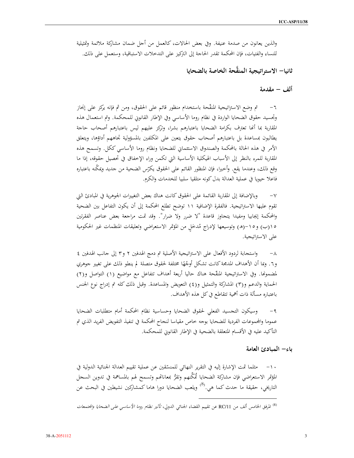والذين يعانون من صدمة عنيفة. وفي بعض الحالات، كالعمل من أجل ضمان مشاركة ملائمة وتمثيلية للنساء والفتيات، فإن المحكمة تقدر الحاجة إلى التركيز على التدخلات الاستباقية، وستعمل على ذلك.

ثانيا— الاستراتيجية المنقَّحة الخاصة بالضحابا

ألف – مقدمة

تم وضع الاستراتيجية المنقَّحة باستخدام منظور قائم على الحقوق، ومن ثم فإنه يركز على إنجاز وتحسيد حقوق الضحايا الواردة في نظام روما الأساسي وفي الإطار القانوني للمحكمة. وتم استعمال هذه المقاربة بما أنحا تعترف بكرامة الضحايا باعتبارهم بشرا، وتركز عليهم ليس باعتبارهم أصحاب حاجة يطالبون بمساعدة بل باعتبارهم أصحاب حقوق يتعين على المكلفين بالمسؤولية تجاههم أداؤها، ويتعلق الأمر في هذه الحالة بالمحكمة والصندوق الاستئماني للضحايا ونظام روما الأساسي ككل. وتسمح هذه المقاربة للمرء بالنظر إلى الأسباب الهيكلية الأساسية التي تكمن وراء الإخفاق في تحصيل حقوقه، إذا ما وقع ذلك، وعندما يقع. وأخيرا، فإن المنظور القائم على الحقوق يكرّس الضحية من جديد ويمكّنه باعتباره فاعلا حيويا في عملية العدالة بدل كونه متلقيا سلبيا للخدمات والكرم.

وبالإضافة إلى المقاربة القائمة على الحقوق كانت هناك بعض التغييرات الجوهرية في المبادئ التي  $-\vee$ تقوم عليها الاستراتيحية. فالفقرة الإضافية ١١ توضح تطلع المحكمة إلى أن يكون التفاعل بين الضحية والمحكمة إيجابيا ومفيدا يتحاوز قاعدة "لا ضرر ولا ضرار". وقد تمت مراجعة بعض عناصر الفقرتين ١٥(ب) و١٥-(هـ) وتوسيعها لإدراج مُدخَل من المؤتمر الاستعراضي وتعليقات المنظمات غير الحكومية على الاستراتيجية.

واستحابة لردود الأفعال على الاستراتيحية الأصلية تم دمج الهدفين ٢ و٣ إلى حانب الهدفين ٤  $-\lambda$ و٦. وبما أن الأهداف المدمجة كانت تشكل أوجُهًا مختلفة لحقوق متصلة لم ينطو ذلك على تغيير جوهري لمضمونُها. وفي الاستراتيجية المنقَّحة هناك حاليا أربعة أهداف تتفاعل مع مواضيع (١) التواصل و(٢) الحماية والدعم و(٣) المشاركة والتمثيل و(٤) التعويض والمساعدة. وقبل ذلك كله تم إدراج نوع الجنس باعتباره مسألة ذات أهمية تتقاطع في كل هذه الأهداف.

وسيكون التحسيد الفعلي لحقوق الضحايا وحساسية نظام المحكمة أمام متطلبات الضحايا  $-9$ عموما والمجموعات الفردية للضحايا بوجه خاص مقياسا لنحاح المحكمة في تنفيذ التفويض الفريد الذي تم التأكيد عليه في الأقسام المتعلقة بالضحية في الإطار القانوني للمحكمة.

باء– المبادئ العامة

١٠– مثلما تمت الإشارة إليه في التقرير النهائي للمنسّقين عن عملية تقييم العدالة الجنائية الدولية في المؤتمر الاستعراضي فإن مشاركة الضحايا تُمَكِّنهم وتقرُّ بمعاناتهم وتسمح لهم بالمساهمة في تدوين السحل التاريخي، حقيقة ما حدث كما هي.<sup>(8)</sup> ويلعب الضحايا دورا هاما كمشاركين نشيطين في البحث عن

<sup>&</sup>lt;sup>(8)</sup> المرفق الخامس ألف من RC/11 عن تقييم القضاء الجنائبي الدولي، *تأثير نظام روما الأساسي على الضحايا والمجتمعات*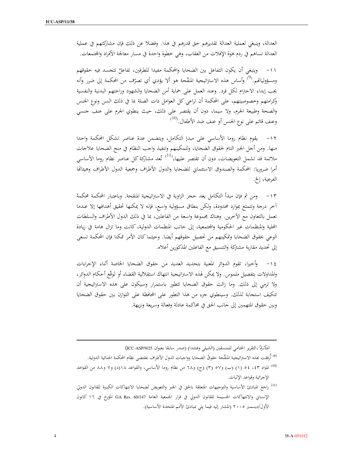العدالة، وينبغي لعملية العدالة تقديرهم حق قدرهم في هذا. وفضلاً عن ذلك فإن مشاركتهم في عملية العدالة تساهم في ردم هوة الإفلات من العقاب، وهي خطوة واحدة في مسار معالجة الأفراد والمحتمعات.

وينبغي أن يكون التفاعل بين الضحايا والمحكمة مفيدا للطرفين، تفاعلٌ تتجسد فيه حقوقهم  $-11$ ومسؤولياتهم.<sup>(9</sup>) وأساس هذه الاستراتيجية المنقّحة هو ألا يؤدي أي تصرّف من المحكمة إلى ضرر وأنه يجب إبداء الاحترام لكل فرد. وعند العمل على حماية أمن الضحايا والشهود وراحتهم البدنية والنفسية وكرامتهم وخصوصيتهم، على المحكمة أن تراعي كل العوامل ذات الصلة بما في ذلك السن ونوع الجنس والصحة وطبيعة الجرم، ولا سيما، دون أن يقتصر على ذلك، حيث ينطوي الجرم على عنف جنسي وعنف قائم على نوع الجنس أو عنف ضد الأطفال.<sup>(10</sup>)

١٢– يقوم نظام روما الأساسى على مبدإ التكامل، ويتضمن عدة عناصر تشكل المحكمة واحدا منها. ومن أجل الجبر التام لحقوق الضحايا، ولتمكينهم وتنفيذ واجب النظام في منح الضحايا علاجات ملائمة قد تشمل التعويضات، دون أن تقتصر عليها،<sup>(11</sup>) تُعد مشاركة كل عناصر نظام روما الأساسى أمرا ضروريا: المحكمة والصندوق الاستئماني للضحايا والدول الأطراف وجمعية الدول الأطراف وهيئاتها الفرعية، إلخ.

١٣- ومن ثم فإن مبدأ التكامل يعد حجر الزاوية في الاستراتيجية المنقحة. وباعتبار المحكمة محكمةَ أخر درجة وتتمتع بموارد محدودة، ولكن بنطاق مسؤولية واسع، فإنه لا يمكنها تحقيق أهدافها إلا عندما تعمل بالتعاون مع الآخرين. وهناك مجموعة واسعة من الفاعلين، بما في ذلك الدول الأطراف والسلطات المحلية والمنظمات غير الحكومية والمجتمعية، إلى جانب المنظمات الدولية، كانت وما تزال هامة في زيادة الوعي بحقوق الضحايا وتمكينهم من تحصيل حقوقهم أيضا. وحيثما كان الأمر ممكنا فإن المحكمة تسعى إلى تحديد مقاربة مشتركة والتنسيق مع الفاعلين المذكورين أعلاه.

٤ ١- وأخيرا، تقوم الدوائر المعنية بتحديد العديد من حقوق الضحايا الخاصة أثناء الإجراءات والمداولات بتفصيل ملموس. ولا يمكن لهذه الاستراتيجية انتهاك استقلالية القضاء أو تَوقّع أحكام الدوائر، ولا ترمى إلى ذلك. وما زالت حقوق الضحايا تتطور باستمرار وسيكون على هذه الاستراتيجية أن تتكيف استحابة لذلك. وسينطوي جزء من هذا التطور على المحافظة على التوازن بين حقوق الضحايا وبين حقوق المتهمين إلى جانب الحق في محاكمة عادلة وفعالة وسريعة ونزيهة.

المتأثرة"،التقرير الختامي للمنسقين (الشيلي وفنلندا) (صدر سابقا بعنوان ICC-ASP/9/25)

<sup>(9)</sup> أُرفقت بمذه الاستراتيجية المنقَّحة حقوقُ الضحايا وواجبات الدول الأطراف بمقتضى نظام المحكمة الجنائية الدولية.

<sup>(11)</sup> راجع المبادئ الأساسية والتوجيهات المتعلقة بالحق في الجبر والتعويض لضحايا الانتهاكات الكبيرة للقانون الدولي الإنساني والانتهاكات الجسيمة للقانون الدولي في قرار الجمعية العامة GA Res. 60/147 المؤرخ في ١٦ كانون الأول/ديسمبر ٢٠٠٥ (المشار إليه فيما يلي بمبادئ الأمم المتحدة الأساسية).

<sup>&</sup>lt;sup>(10)</sup> المواد ٤٣، ٥٤ (١) (ب) و٥٧ (٣) (ج) و٦٨ من نظام روما الأساسي، والقواعد ١٨(د) و٧ و٨٨ من القواعد الإجرائية وقواعد الإثبات.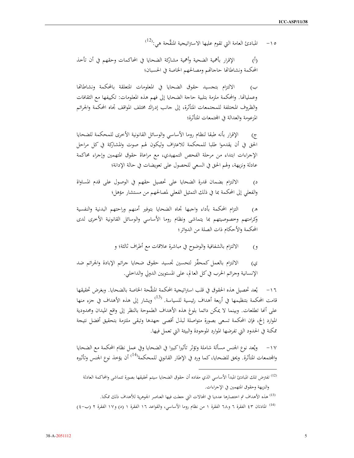المبادئ العامة التي تقوم عليها الاستراتيجية المنقَّحة هي:<sup>(12)</sup>  $-10$ 

الإقرار بأهمية الضحية وأهمية مشاركة الضحايا في المحاكمات وحقهم في أن تأخذ  $\dot{(\mathfrak{h})}$ المحكمة ونشاطاتها حاجاتهم ومصالحهم الخاصة في الحسبان؛

الالتزام بتجسيد حقوق الضحايا في المعلومات المتعلقة بالمحكمة ونشاطاتها ب) وعملياتها. والمحكمة ملزمة بتلبية حاجة الضحايا إلى فهم هذه المعلومات: تكييفها مع الثقافات والظروف المختلفة للمحتمعات المتأثرة، إلى حانب إدراك مختلف المواقف تجاه المحكمة والجرائم المزعومة والعدالة في المحتمعات المتأثرة؛

الإقرار بأنه طبقا لنظام روما الأساسي والوسائل القانونية الأخرى للمحكمة للضحايا  $(\bar{z})$ الحق في أن يقدموا طلبا للمحكمة للاعتراف وليكون لهم صوت والمشاركة في كل مراحل الإجراءات ابتداء من مرحلة الفحص التمهيدي، مع مراعاة حقوق المتهمين وإجراء محاكمة عادلة ونزيهة، ولهم الحق في السعى للحصول على تعويضات في حالة الإدانة؛

الالتزام بضمان قدرة الضحايا على تحصيل حقهم في الوصول على قدم المساواة  $\zeta$ والفعلى إلى المحكمة بما في ذلك التمثيل الفعلى لمصالحهم من مستشار مؤهل؛

التزام المحكمة بأداء واجبها تحاه الضحايا بتوفير أمنهم وراحتهم البدنية والنفسية  $\mathcal{L}$ وكرامتهم وخصوصيتهم بما يتماشى ونظام روما الأساسى والوسائل القانونية الأخرى لدى المحكمة والأحكام ذات الصلة من الدوائر ؛

> الالتزام بالشفافية والوضوح في مباشرة علاقات مع أطراف ثالثة؛ و  $(9)$

الالتزام بالعمل كمحفِّز لتحسين تحسيد حقوق ضحايا جرائم الإبادة والجرائم ضد ى) الإنسانية وجرائم الحرب في كل العالم، على المستويين الدولي والداخلي.

يُعد تحصيل هذه الحقوق في قلب استراتيجية المحكمة المنقَّحة الخاصة بالضحايا. وبغرض تحقيقها  $-17$ قامت المحكمة بتنظيمها في أربعة أهداف رئيسية للسياسة. <sup>(13</sup> ويشار إلى هذه الأهداف في جزء منها على أنَّما تطلعات. وبينما لا يمكن دائما بلوغ هذه الأهداف الطموحة بالنظر إلى واقع الميدان ومحدودية الموارد إلخ، فإن المحكمة تسعى بصورة متواصلة لبذل أقصى جهدها وتبقى ملتزمة بتحقيق أفضل نتيجة ممكنة في الحدود التي تفرضها الموارد الموجودة والبيئة التي تعمل فيها.

١٧− ويُعد نوع الجنس مسألة شاملة وتؤثر تأثيراكبيرا في الضحايا وفي عمل نظام المحكمة مع الضحايا والمحتمعات المتأثرة. ويحق للضحايا، كما ورد في الإطار القانوني للمحكمة<sup>(14)</sup> أن يؤخذ نوع الجنس وتأثيره

<sup>(13)</sup> هذه الأهداف تم اختصارها عدديا في المحالات التي جعلت فيها العناصر الجوهرية للأهداف ذلك ممكنا.

<sup>&</sup>lt;sup>(12)</sup> تفترض تلك المبادئ المبدأ الأساسي الذي مفاده أن حقوق الضحايا سيتم تحقيقها بصورة تتماشى والمحاكمة العادلة والنزيهة وحقوق المتهمين في الإجراءات.

<sup>(14)</sup> المادتان ٤٣ الفقرة ٦ و٦٨ الفقرة ١ من نظام روما الأساسي، والقواعد ١٦ الفقرة ١ (د) و١٧ الفقرة ٢ (ب-٤)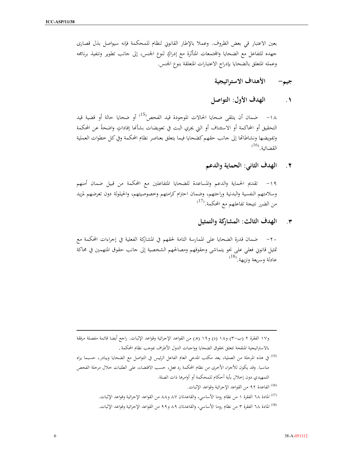بعين الاعتبار في بعض الظروف. وعملا بالإطار القانوني لنظام للمحكمة فإنه سيواصل بذل قصارى جهده للتفاعل مع الضحايا والمجتمعات المتأثرة مع إدراكٍ لنوع الجنس، إلى جانب تطوير وتنفيذ برنامجه وعمله المتعلق بالضحايا بإدراج الاعتبارات المتعلقة بنوع الجنس.

> الأهداف الاستراتيجية جيم-

الهدف الأول: التواصل  $\cdot$ 

١٨- ضمان أن يتلقى ضحايا الحالات الموجودة قيد الفحص<sup>(15)</sup> أو ضحايا حالة أو قضية قيد التحقيق أو المحاكمة أو الاستئناف أو التي يجري البت في تعويضات بشأنها إفاداتٍ واضحةً عن المحكمة وتفويضها ونشاطاتها إلى جانب حقهم كضحايا فيما يتعلق بعناصر نظام المحكمة وفي كل خطوات العملية  $^{(16)}$ .القضائية

> الهدف الثاني: الحماية والدعم  $\mathbf{r}$

١٩- تقديم الحماية والدعم والمساعدة للضحايا المتفاعلين مع المحكمة من قبيل ضمان أمنهم وسلامتهم النفسية والبدنية وراحتهم، وضمان احترام كرامتهم وخصوصيتهم، والحيلولة دون تعرضهم لمزيد من الضرر نتيجة تفاعلهم مع المحكمة.<sup>(17)</sup>

٣. الهدف الثالث: المشاركة والتمثيل

٢٠– ضمان قدرة الضحايا على الممارسة التامة لحقهم في المشاركة الفعلية في إجراءات المحكمة مع تمثيل قانوني فعلى على نحو يتماشى وحقوقهم ومصالحهم الشخصية إلى جانب حقوق المتهمين في محاكة عادلة وسريعة ونزيهة.<sup>(18)</sup>

<sup>(15)</sup> في هذه المرحلة من العملية، يعد مكتب المدعى العام الفاعل الرئيس في التواصل مع الضحايا ويبادر، حسبما يراه مناسبا. وقد يكون للأجزاء الأخرى من نظام المحكمة رد فعل، حسب الاقتضاء، على الطلبات خلال مرحلة الفحص التمهيدي دون إخلال بأية أحكام للمحكمة أو أوامرها ذات الصلة.

(16) الفاعدة ٩٢ من القواعد الإجرائية وقواعد الإثبات.

<sup>(17)</sup> المادة ٦٨ الفقرة ١ من نظام روما الأساسى، والقاعدتان ٨٧ و٨٨ من القواعد الإجرائية وقواعد الإثبات. (18) المادة ٦٨ الفقرة ٣ من نظام روما الأساسي، والقاعدتان ٨٩ و٩٩ من القواعد الإجرائية وقواعد الإثبات.

و١٧ الفقرة ٢ (ب–٣) و١٨ (د) و١٩ (هـ) من القواعد الإجرائية وقواعد الإثبات. راجع أيضا قائمة مفصلة مرفقة بالاستراتيجية المنقحة تتعلق بحقوق الضحايا وواجبات الدول الأطراف بموجب نظام المحكمة .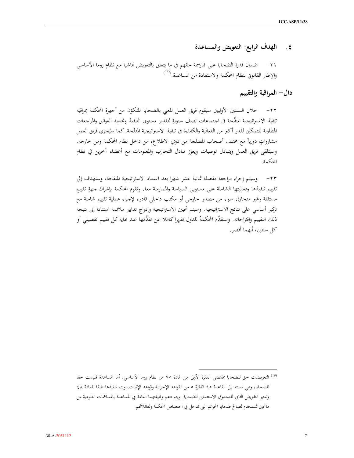## الهدف الرابع: التعويض والمساعدة  $\cdot$  .  $\epsilon$

ضمان قدرة الضحايا على ممارسمة حقهم في ما يتعلق بالتعويض تماشيا مع نظام روما الأساسي  $-\tau$ ) والإطار القانوني لنظام المحكمة والاستفادة من المساعدة.<sup>(19</sup>)

دال– المراقبة والتقييم

٢٢– خلال السنتين الأوليين سيقوم فريق العمل المعنى بالضحايا المتكوّن من أجهزة المحكمة بمراقبة تنفيذ الإستراتيجية المنقَّحة في اجتماعات نصف سنويةٍ لتقديرٍ مستوى التنفيذ وتحديد العوائق والمراجعات المطلوبة للتمكين لقدر أكبر من الفعالية والكفاءة في تنفيذ الاستراتيجية المنقَّحة. كما سيُجري فريق العمل مشارواتٍ دوريةً مع مختلف أصحاب المصلحة من ذوي الاطلاع، من داخل نظام المحكمة ومن خارجه. وسيتلقى فريق العمل ويتبادل توصيات ويعزز تبادل التحارب والمعلومات مع أعضاء آخرين في نظام المحكمة.

٢٣– وسيتم إجراء مراجعة مفصلة ثمانيةَ عشر شهرًا بعد اعتماد الاستراتيجية المنقحة، وستهدف إلى تقييم تنفيذها وفعاليتها الشاملة على مستويى السياسة والممارسة معا. وتقوم المحكمة بإشراك جهةِ تقييم مستقلة وغير منحازة، سواء من مصدر خارجي أو مكتب داخلي قادر، لإجراء عملية تقييم شاملة مع تركيز أساسى على نتائج الاستراتيحية. وسيتم تحيين الاستراتيجية وإدراج تدابير ملائمة استنادا إلى نتيحة ذلك التقييم واقتراحاته. وستقدِّم المحكمةُ للدول تقريرا كاملا عن تقدُّمها عند نحاية كل تقييم تفصيلي أو كل سنتين، أيهما أقصر .

<sup>&</sup>lt;sup>(19)</sup> التعويضات حق للضحايا بمقتضى الفقرة الأولى من المادة ٧٥ من نظام روِما الأساسى. أما المساعدة فليست حقا للضحايا، وهي تستند إلى القاعدة ٩٥ الفقرة ٥ من القواعد الإجرائية وقواعد الإثبات، ويتم تنفيذها طبقًا للمادة ٤٨ وتعتبر التفويض الثاني للصندوق الاستئماني للضحايا. ويتم دعم وظيفتهما العامة في المساعدة بالمساهمات الطوعية من مانحين تُستخدم لصالح ضحايا الجرائم التي تدخل في اختصاص المحكمة ولعائلاتهم.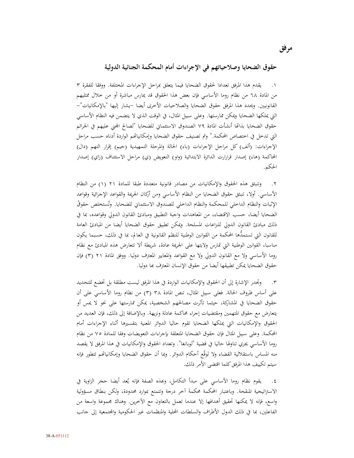## حقوق الضحايا وصلاحياتهم في الإجراءات أمام المحكمة الجنائية الدولية

١. يقدم هذا المرفق تعدادا لحقوق الضحايا فيما يتعلق بمراحل الإجراءات المختلفة. ووفقا للفقرة ٣ من المادة ٦٨ من نظام روما الأساسي فإن بعض هذا الحقوق قد يمارس مباشرة أو من خلال ممثليهم القانونيين. ويحدد هذا المرفق حقوق الضحايا والصلاحيات الأخرى أيضا –يشار إليها "بالإمكانيات"– التي يملكها الضحايا ويمكن ممارستها. وعلى سبيل المثال، في الوقت الذي لا يتضمن فيه النظام الأساسي حقوق الضحايا بذاتَّما أنشأت المادة ٧٩ الصندوق الاستئماني للضحايا "لصالح المجنى عليهم في الجرائم التي تدخل في اختصاص المحكمة." وتم تصنيف حقوق الضحايا وإمكانياتهم الواردة أدناه حسب مراحل الإجراءات: (ألف) كل مراحل الإجراءات (باء) الحالة والمرحلة التمهيدية (جيم) إقرار التهم (دال) المحاكمة (هاء) إصدار قرارارت الدائرة الابتدائية (واو) التعويض (ي) مراحل الاستئناف (زاي) إصدار الحكم.

٢. وتنبثق هذه الحقوق والإمكانيات من مصادر قانونية متعددة طبقا للمادة ٢١ (١) من النظام الأساسي. أولا، تنبثق حقوق الضحايا من النظام الأساسي ومن أركان الجريمة والقواعد الإجرائية وقواعد الإثبات والنظام الداخلي للمحكمة والنظام الداخلي للصندوق الاستئماني للضحايا. وتُستخلص حقوقُ الضحايا أيضا، حسب الاقتضاء، من المعاهدات واجبة التطبيق ومبادئ القانون الدولي وقواعده، بما في ذلك مبادئ القانون الدولي للنزاعات المسلحة. ويمكن تطبيق حقوق الضحايا أيضا من المبادئ العامة للقانون التي تستمدُّها المحكمة من القوانين الوطنية للنظم القانونية في العالم، بما في ذلك، حسبما يكون مناسبا، القوانين الوطنية التي تمارس ولايتها على الجريمة عادة، شريطة ألا تتعارض هذه المبادئ مع نظام روما الأساسي ولا مع القانون الدولي ولا مع القواعد والمعايير المعترف دوليا. ووفق المادة ٢١ (٣) فإن حقوق الضحايا يمكن تطبيقها أيضا من حقوق الإنسان المعترف بما دوليا.

٣. ﴿ وَبَحْدِرِ الإِشارةِ إِلَى أَنِ الحقوقِ والإِمكانياتِ الواردةِ في هذا المرفقِ ليستِ مطلقة بل تخضع للتحديد على أساس ظروف الحالة. فعلى سبيل المثال، تنص المادة ٣٨ (٣) من نظام روما الأساسي على أن حقوق الضحايا في المشاركة، حيثما تأثرت مصالحهم الشخصية، يمكن ممارستها على نحو لا يمس أو يتعارض مع حقوق المتهمين ومقتضيات إجراء محاكمة عادلة ونزيهة. وبالإضافة إلى ذلك، فإن العديد من الحقوق والإمكانيات التي يملكها الضحايا تقوم حاليا الدوائر المعنية بتفسيرها أثناء الإجراءات أمام المحكمة. وعلى سبيل المثال فإن حقوق الضحايا المتعلقة بإجراءات التعويضات وفقا للمادة ٧٥ من نظام روما الأساسي يجري تناولها حاليا في قضية "لوبانغا". وتعداد الحقوق والإمكانيات في هذا المرفق لا يقصد منه المساس باستقلالية القضاء ولا تَوقّع أحكام الدوائر. وبما أن حقوق الضحايا وإمكانياتهم تتطور فإنه سيتم تكييف هذا المرفق كلما اقتضى الأمر ذلك.

يقوم نظام روما الأساسي على مبدأ التكامل، وبَعذه الصفة فإنه يُعد أيضا حجر الزاوية في  $\cdot$  ٤ الاستراتيجية المنقحة. وباعتبار المحكمة محكمةَ آخر درجة وتتمتع بموارد محدودة، ولكن بنطاق مسؤولية واسع، فإنه لا يمكنها تحقيق أهدافها إلا عندما تعمل بالتعاون مع الآخرين. وهناك مجموعة واسعة من الفاعلين، بما في ذلك الدول الأطراف والسلطات المحلية والمنظمات غير الحكومية والمجتمعية إلى جانب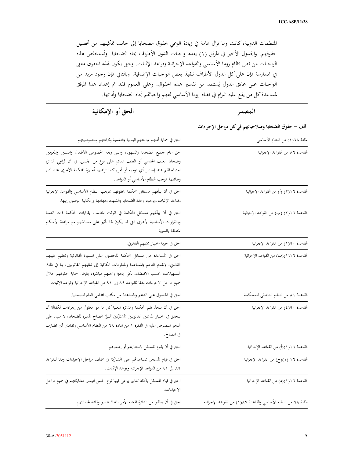المنظمات الدولية، كانت وما تزال هامة في زيادة الوعي بحقوق الضحايا إلى جانب تمكينهم من تحصيل حقوقهم. والجدول الأخير في المرفق (١) يعدد واجبات الدول الأطراف تجاه الضحايا. وتُستخلص هذه الواجبات من نص نظام روما الأساسي والقواعد الإجرائية وقواعد الإثبات. وحتى يكون لهذه الحقوق معنى في الممارسة فإن على كل الدول الأطراف تنفيذ بعض الواجبات الإضافية. وبالتالي فإن وجود مزيد من الواجبات على عاتق الدول يُستمد من تفسير هذه الحقوق. وعلى العموم فقد تم إعداد هذا المرفق لمساعدة كل من يقع عليه التزام في نظام روما الأساسي لفهم واجباتهم تجاه الضحايا وأدائها.

| الحق أو الإمكانية                                                                                                                                                                                                                                                                                                                        | المصدر                                                           |
|------------------------------------------------------------------------------------------------------------------------------------------------------------------------------------------------------------------------------------------------------------------------------------------------------------------------------------------|------------------------------------------------------------------|
|                                                                                                                                                                                                                                                                                                                                          | ألف – حقوق الضحايا وصلاحياتهم في كل مراحل الإجراءات              |
| الحق في حماية أمنهم وراحتهم البدنية والنفسية وكرامتهم وخصوصيتهم.                                                                                                                                                                                                                                                                         | المادة ٦٨(١) من النظام الأساسي                                   |
| حق عام لجميع الضحايا والشهود، وعلى وجه الخصوص الأطفال والمسنين والمعوقين<br>وضحايا العنف الجنسي أو العنف القائم على نوع من الجنس، في أن تُراعِي الدائرة<br>احتياجاتهم عند إصدار أي توجيه أو أمر، كما تراعيها أجهزة المحكمة الأخرى عند أداء<br>وظائفها بموجب النظام الأساسي أو القواعد.                                                   | القاعدة ٨٦ من القواعد الإجرائية                                  |
| الحق في أن يبلّغهم مسحّل المحكمة بحقوقهم بموجب النظام الأساسي والقواعد الإجرائية<br>وقواعد الإثبات وبوجود وحدة الضحايا والشهود ومهامها وإمكانية الوصول إليها.                                                                                                                                                                            | القاعدة ١٦(٢) (أ) من القواعد الإجرائية                           |
| الحق في أن يبلّغهم مسجّل المحكمة في الوقت المناسب بقرارات المحكمة ذات الصلة<br>وبالقرارات الأساسية الأخرى التي قد يكون لها تأثير على مصالحهم مع مراعاة الأحكام<br>المتعلقة بالسرية.                                                                                                                                                      | القاعدة ٦ (٢) (ب) من القواعد الإجرائية                           |
| الحق في حرية اختيار ممثلهم القانوني.                                                                                                                                                                                                                                                                                                     | القاعدة ٩٠(١) من القواعد الإجرائية                               |
| الحق في المساعدة من مسحّل المحكمة للحصول على المشورة القانونية وتنظيم تمثيلهم<br>القانوني، وتقديم الدعم والمساعدة والمعلومات الكافية إلى ممثليهم القانونيين، بما في ذلك<br>التسهيلات، بحسب الاقتضاء، لكي يؤدوا واجبهم مباشرة، بغرض حماية حقوقهم خلال<br>جميع مراحل الإجراءات وفقا للقواعد ٨٩ إلى ٩١ من القواعد الإجرائية وقواعد الإثبات. | القاعدة ١٦(١)(ب) من القواعد الإجرائية                            |
| الحق في الحصول على الدعم والمساعدة من مكتب المحامي العام للضحايا.                                                                                                                                                                                                                                                                        | القاعدة ٨١ من النظام الداخلي للمحكمة                             |
| الحق في أن يتخذ قلم المحكمة والدائرة المعنية كل ما هو معقول من إجراءات لكفالة أن<br>يتحقق في اختيار الممثلين القانونيين المشتركين تمثيلُ المصالح المميزة للضحايا، لا سيما على<br>النحو المنصوص عليه في الفقرة ١ من المادة ٦٨ من النظام الأساسي وتفادي أي تضارب<br>في المصالح.                                                            | القاعدة ٩٠(٤) من القواعد الإحرائية                               |
| الحق في أن يقوم المسحّل بإخطارهم أو إشعارهم.                                                                                                                                                                                                                                                                                             | القاعدة ١٦(١)(أ) من القواعد الإجرائية                            |
| الحق في قيام المسحل بمساعدتمم على المشاركة في مختلف مراحل الإحراءات وفقا للقواعد<br>٨٩ إلى ٩١ من القواعد الإجرائية وقواعد الإثبات.                                                                                                                                                                                                       | القاعدة ١٦ (١)(ج) من القواعد الإجرائية                           |
| الحق في قيام المسحّل باتخاذ تدابير يراعي فيها نوع الجنس لتيسير مشاركتهم في جميع مراحل<br>الإجراءات.                                                                                                                                                                                                                                      | القاعدة ١ (١)(د) من القواعد الإجرائية                            |
| الحق في أن يطلبوا من الدائرة المعنية الأمر باتخاذ تدابير وقائية لحمايتهم.                                                                                                                                                                                                                                                                | المادة ٦٨ من النظام الأساسي والقاعدة ١٨٧(١) من القواعد الإجرائية |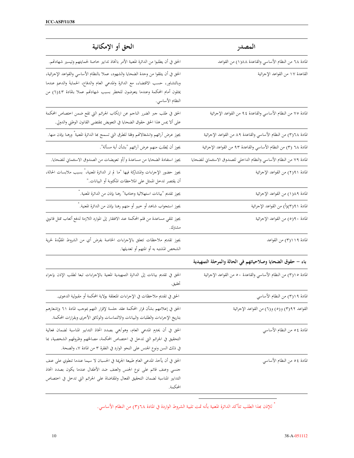| الحق أو الإمكانية                                                                                                                                                                                                                                                          | المصدر                                                                 |
|----------------------------------------------------------------------------------------------------------------------------------------------------------------------------------------------------------------------------------------------------------------------------|------------------------------------------------------------------------|
| الحق في أن يطلبوا من الدائرة المعنية الأمر باتخاذ تدابير حاصة لحمايتهم وتيسير شهادتهم.                                                                                                                                                                                     | المادة ٦٨ من النظام الأساسي والقاعدة ١٨٨(١) من القواعد                 |
| الحق في أن يتلقوا من وحدة الضحايا والشهود، عملا بالنظام الأساسي والقواعد الإحرائية،<br>وبالتشاور، حسب الاقتضاء، مع الدائرة والمدعي العام والدفاع، الحمايةَ والدعمَ عندما<br>يمثلون أمام المحكمة وعندما يتعرضون للخطر بسبب شهادتمم عملا بالمادة ٤٣(٦) من<br>النظام الأساسي. | القاعدة ١٧ من القواعد الإجرائية                                        |
| الحق في طلب جبر الضرر الناجم عن ارتكاب الجرائم التي تقع ضمن اختصاص المحكمة<br>على ألا يمس هذا الحق حقوق الضحايا في التعويض بمقتضى القانون الوطني والدولي.                                                                                                                  | المادة ٧٥ من النظام الأساسي والقاعدة ٩٤ من القواعد الإجرائية           |
| يجوز عرض أرائهم وانشغالاتمم وفقا للطرق التي تسمح بحا الدائرة المعنية ْ ورهنا بإذن منها.                                                                                                                                                                                    | المادة ٣)٦٨) من النظام الأساسي والقاعدة ٨٩ من القواعد الإجرائية        |
| يجوز أن يُطلبَ منهم عرض آرائهم "بشأن أية مسألة".                                                                                                                                                                                                                           | المادة ٦٨ (٣) من النظام الأساسي والقاعدة ٩٣ من القواعد الإجرائية       |
| يجوز استفادة الضحايا من مساعدة و/أو تعويضات من الصندوق الاستئماني للضحايا.                                                                                                                                                                                                 | المادة ٧٩ من النظام الأساسي والنظام الداخلي للصندوق الاستئماني للضحايا |
| يجوز حضور الإجراءات والمشاركة فيها "ما لم تر الدائرة المعنية، ٌ بسبب ملابسات الحالة،<br>أن يقتصر تدخل الممثل على الملاحظات المكتوبة أو البيانات."                                                                                                                          | المادة ٩١(٢) من القواعد الإجرائية                                      |
| يجوز تقديم "بيانات استهلالية وختامية" رهنا بإذن من الدائرة المعنية. ٌ                                                                                                                                                                                                      | المادة ٨٩(١) من القواعد الإجرائية                                      |
| يجوز استحواب شاهد أو خبير أو متهم رهنا بإذن من الدائرة المعنية. ٌ                                                                                                                                                                                                          | المادة ٩١(٣)(أ) من القواعد الإجرائية                                   |
| يجوز تلقي مساعدة من قلم المحكمة عند الافتقار إلى الموارد اللازمة لدفع أتعاب ممثل قانوني<br>مشترك.                                                                                                                                                                          | المادة ٩٠(٥) من القواعد الإجرائية                                      |
| يجوز تقديم ملاحظات تتعلق بالإجراءات الخاصة بفرض أي من الشروط المقيِّدة لحرية<br>الشخص المشتبه به أو المتهم أو تعديلها.                                                                                                                                                     | المادة ١١٩/٣) من القواعد                                               |
|                                                                                                                                                                                                                                                                            | باء – حقوق الضحايا وصلاحياتهم في الحالة والمرحلة التمهيدية             |
| الحق في تقديم بيانات إلى الدائرة التمهيدية المعنية بالإجراءات تبعا لطلب الإذن بإجراء<br>تحقيق.                                                                                                                                                                             | المادة ٢)١٥) من النظام الأساسي والقاعدة ٥٠ من القواعد الإجرائية        |
| الحق في تقديم ملاحظات في الإجراءات المتعلقة بولاية المحكمة أو مقبولية الدعوى.                                                                                                                                                                                              | المادة ١٩(٣) من النظام الأساسي                                         |
| الحق في إعلامهم بشأن قرار المحكمة عقد جلسة لإقرار التهم بموجب المادة ٦١ وإشعارهم<br>بتاريخ الإجراءات والطلبات والبيانات والالتماسات والوثائق الأخرى وبقرارات المحكمة.                                                                                                      | القواعد ٩٢(٣) و(٥) و(٦) من القواعد الإجرائية                           |
| الحق في أن يحترم المدعى العام، وهو/هي بصدد اتخاذ التدابير المناسبة لضمان فعالية<br>التحقيق في الجرائم التي تدخل في اختصاص المحكمة، مصالحَهم وظروفَهم الشخصية، بما<br>في ذلك السن ونوع الجنس على النحو الوارد في الفقرة ٣ من المادة ٧، والصحة.                              | المادة ٤ ٥ من النظام الأساسي                                           |
| الحق في أن يأخذ المدعى العام طبيعة الجريمة في الحسبان لا سيما عندما تنطوي على عنف<br>جنسي وعنف قائم على نوع الجنس والعنف ضد الأطفال عندما يكون بصدد اتخاذ<br>التدابير المناسبة لضمان التحقيق الفعال والمقاضاة على الجرائم التي تدخل في اختصاص<br>المحكمة.                  | المادة ٤ ٥ من النظام الأساسي                                           |

" للإذن بمذا الطلب تتأكد الدائرة المعنية بأنه تمت تلبية الشروط الواردة في المادة ٢/٦٨) من النظام الأساسي.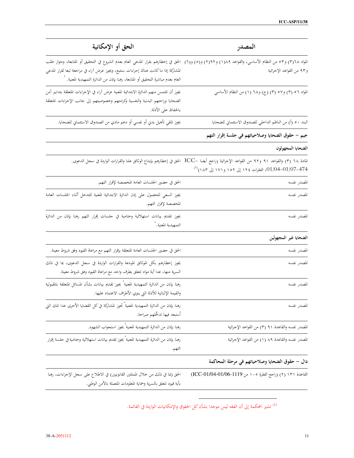| الحق أو الإمكانية                                                                                                                                                                                                                                                                                                             | المصدر                                                                                                                                                                                                       |
|-------------------------------------------------------------------------------------------------------------------------------------------------------------------------------------------------------------------------------------------------------------------------------------------------------------------------------|--------------------------------------------------------------------------------------------------------------------------------------------------------------------------------------------------------------|
| المواد ٣١٦٨) و٥٣ من النظام الأساسي، والقواعد ١٨٩٩) و(٢) و(٦) و(٦)  الحق في إخطارهم بقرار المدعي العام بعدم الشروع في التحقيق أو المتابعة، وجواز طلب<br>المشاركة إذا ماكانت هناك إحراءات ستتبع، ويجوز عرض آراء في مراجعة تبعا لقرار المدعي<br>العام بعدم مباشرة التحقيق أو المتابعة، رهنا بإذن من الدائرة التمهيدية المعنية. * | و٩٣ من القواعد الإجرائية                                                                                                                                                                                     |
| يجوز أن تلتمس منهم الدائرة الابتدائية المعنية عرض آراء في الإجراءات المتعلقة بتدابير أمن<br>الضحايا وراحتهم البدنية والنفسية وكرامتهم وخصوصيتهم إلى جانب الإجراءات المتعلقة<br>بالحفاظ على الأدلة.                                                                                                                            | المواد ٥٦ (٣) و٥٧ (٣) (ج) و٦٨ (١) من النظام الأساسي                                                                                                                                                          |
| يجوز تلقي تأهيل بدني أو نفسي أو دعم مادي من الصندوق الاستئماني للضحايا.                                                                                                                                                                                                                                                       | البند ٥٠ (أ) من الناظم الداخلي للصندوق الاستئماني للضحايا                                                                                                                                                    |
|                                                                                                                                                                                                                                                                                                                               | جيم – حقوق الضحايا وصلاحياتهم في جلسة إقرار التهم                                                                                                                                                            |
|                                                                                                                                                                                                                                                                                                                               | الضحايا المجهولون                                                                                                                                                                                            |
|                                                                                                                                                                                                                                                                                                                               | المادة ٦٨ (٣) والقواعد ٩١ و٩٢ من القواعد الإجرائية (راجع أيضا –ICC  الحق في إخطارهم بإيداع الوثائق علنا والقرارات الواردة في سجل الدعوى.<br>01/04-01/07-474، الفقرات ١٢٤ إلى ١٥٢ و ١٧١ إلى ١٨٣ <sup>).</sup> |
| الحق في حضور الجلسات العامة المخصصة لإقرار التهم.                                                                                                                                                                                                                                                                             | المصدر نفسه                                                                                                                                                                                                  |
| يجوز السعي للحصول على إذن الدائرة الابتدائية المعنية للتدخل أثناء الجلسات العامة<br>المخصصة لإقرار التهم.                                                                                                                                                                                                                     | المصدر نفسه                                                                                                                                                                                                  |
| يجوز تقديم بيانات استهلالية وختامية في حلسات إقرار التهم رهنا بإذن من الدائرة<br>التمهيدية المعنية. ٌ                                                                                                                                                                                                                         | المصدر نفسه                                                                                                                                                                                                  |
|                                                                                                                                                                                                                                                                                                                               | الضحايا غير المجهولين                                                                                                                                                                                        |
| الحق في حضور الجلسات العامة المتعلقة بإقرار التهم مع مراعاة القيود وفق شروط معينة.                                                                                                                                                                                                                                            | المصدر نفسه                                                                                                                                                                                                  |
| يجوز إخطارهم بكل الموثائق المودعة والقرارات الواردة في سحل الدعوى، بما في ذلك<br>السرية منها، عدا أية مواد تتعلق بطرف واحد مع مراعاة القيود وفق شروط معينة.                                                                                                                                                                   | المصدر نفسه                                                                                                                                                                                                  |
| رهنا بإذن من الدائرة التمهيدية المعنية ْ يجوز تقديم بيانات بشأن المسائل المتعلقة بالمقبولية<br>والقيمة الإثباتية للأدلة التي ينوي الأطراف الاعتماد عليها.                                                                                                                                                                     | المصدر نفسه                                                                                                                                                                                                  |
| رهنا بإذن من الدائرة التمهيدية المعنية ٌ تجوز المشاركة في كل القضايا الأخرى عدا تلك التي<br>أستبعد فيها تدخُّلهم صراحة.                                                                                                                                                                                                       | المصدر نفسه                                                                                                                                                                                                  |
| رهنا بإذن من الدائرة التمهيدية المعنية ّ يجوز استحواب الشهود.                                                                                                                                                                                                                                                                 | المصدر نفسه والقاعدة ٩١ (٣) من القواعد الإجرائية                                                                                                                                                             |
| رهنا بإذن من الدائرة التمهيدية المعنية ّ يجوز تقديم بيانات استهلالية وختامية في جلسة إقرار<br>التهم.                                                                                                                                                                                                                          | المصدر نفسه والقاعدة ٨٩ (١) من القواعد الإجرائية                                                                                                                                                             |
|                                                                                                                                                                                                                                                                                                                               | دال – حقوق الضحايا وصلاحياتهم في مرحلة المحاكمة                                                                                                                                                              |
| الحق (بما في ذلك من خلال الممثلين القانونيين) في الاطلاع على سحل الإجراءات، رهنا<br>بأية قيود تتعلق بالسرية وحماية المعلومات المتصلة بالأمن الوطني.                                                                                                                                                                           | القاعدة ١٣١ (٢) (راجع الفقرة ١٠٥ من 1119-01/06-201/04)                                                                                                                                                       |

<sup>(1)</sup> تشير المحكمة إلى أن الفقه ليس موحدا بشأن كل الحقوق والإمكانيات الواردة في القائمة.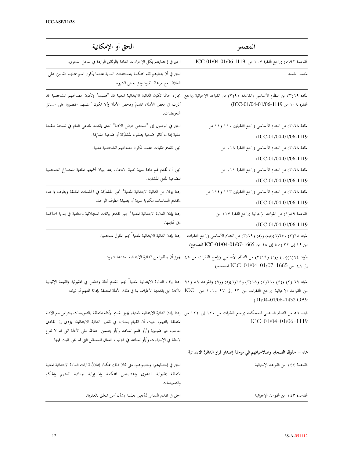| الحق أو الإمكانية                                                                                                                                                                                                                                                                                                                                                                                                           | المصدر                                                                                                                                                                      |
|-----------------------------------------------------------------------------------------------------------------------------------------------------------------------------------------------------------------------------------------------------------------------------------------------------------------------------------------------------------------------------------------------------------------------------|-----------------------------------------------------------------------------------------------------------------------------------------------------------------------------|
| الحق في إخطارهم بكل الإجراءات العامة والوثائق الواردة في سحل الدعوى.                                                                                                                                                                                                                                                                                                                                                        | القاعدة ٩٢(٥) (راجع الفقرة ١٠٧ من 1119-01/04-01/04 ICC                                                                                                                      |
| الحق في أن يخطرهم قلم المحكمة بالمستندات السرية عندما يكون اسم ممثلهم القانوني على<br>الغلاف مع مراعاة القيود وفق بعض الشروط.                                                                                                                                                                                                                                                                                               | المصدر نفسه                                                                                                                                                                 |
| المادة ٣١٦٩) من النظام الأساسي والقاعدة ٣١٩١) من القواعد الإجرائية (راجع  يجوز، حالما تكون الدائرة الابتدائية المعنية قد "طلبت" وتكون مصالحهم الشخصية قد<br>أثيرت في بعض الأدلة، تقديمُ وفحص الأدلة وألا تكون أسئلتهم مقصورة على مسائل<br>التعويضات.                                                                                                                                                                        | الفقرة ١٠٨ من 1119-01/04-01/06)                                                                                                                                             |
| الحق في الوصول إلى "ملخص عرض الأدلة" الذي يقدمه المدعي العام في نسخة منقحة<br>علنية إذا ماكانوا ضحية يطلبون المشاركة أو ضحية مشارِكة.                                                                                                                                                                                                                                                                                       | المادة ٢٦٦٨) من النظام الأساسي (راجع الفقرتين ١١٠ و١١ من<br>(ICC-01/04-01/06-1119                                                                                           |
| يجوز تقديم طلبات عندما تكون مصالحهم الشخصية معنية.                                                                                                                                                                                                                                                                                                                                                                          | المادة ٢/٦٨) من النظام الأساسي (راجع الفقرة ١١٨ من<br>(ICC-01/04-01/06-1119                                                                                                 |
| يجوز أن تُقدم لهم مادة سرية بحوزة الادعاء، رهنا ببيان أهميتها المادية للمصالح الشخصية<br>للضحية المعني المشارك.                                                                                                                                                                                                                                                                                                             | المادة ٢/٦٨) من النظام الأساسي (راجع الفقرة ١١١ من<br>(ICC-01/04-01/06-1119                                                                                                 |
| رهنا بإذن من الدائرة الابتدائية المعنية* تجوز المشاركة في الجلسات المغلقة وبطرف واحد،<br>وتقديم التماسات مكتوبة سرية أو بصيغة الطرف الواحد.                                                                                                                                                                                                                                                                                 | المادة ٢١٦٨) من النظام الأساسي (راجع الفقرتين ١١٣ و١١٤ من<br>(ICC-01/04-01/06-1119                                                                                          |
| رهنا بإذن الدائرة الابتدائية المعنية* يجوز تقديم بيانات استهلالية وختامية في بداية المحاكمة<br>وفي نھايتھا.                                                                                                                                                                                                                                                                                                                 | القاعدة ٨٩(١) من القواعد الإجرائية (راجع الفقرة ١١٧ من<br>(ICC-01/04-01/06-1119                                                                                             |
| رهنا بإذن الدائرة الابتدائية المعنية ْ يجوز المثول شخصيا.                                                                                                                                                                                                                                                                                                                                                                   | المواد ٢١٦٨) و ٢٦(٦)(ب) و(د) و٢١٩(٣) من النظام الأساسي (راجع الفقرات<br>من ١٩ إلى ٣٢ و٥٤ إلى ٤٨ من ICC-01/04-01/07-1665 المصحح)                                             |
|                                                                                                                                                                                                                                                                                                                                                                                                                             | المواد ١٢(٦)(ب) و(د) و٢(٢) من النظام الأساسي (راجع الفقرات من ٤٥   يجوز أن يطلبوا من الدائرة الابتدائية استدعا شهود.<br>إلى ٤٨ من ICC-01/04-01/07-1665 المصحح)              |
| المواد ٦٩ (٣) و(٤) و٣١٦٦) و٢(٢)(د)(د) و(٩) والقواعد ٨٩ و٩١  رهنا بإذن الدائرة الابتدائية المعنية ْ يجوز تقديم أدلة والطعن في المقبولية والقيمة الإثباتية                                                                                                                                                                                                                                                                    | من القواعد الإجرائية (راجع الفقرات من ٩٣ إلى ٩٧ و١٠١ من –ICC للأدلة التي يقدمها الأطراف بما في ذلك الأدلة المتعلقة بإدانة المتهم أو تبرئته.<br>$(01/04 - 01/06 - 1432)$ OA9 |
| البند ٥٦ من النظام الداخلي للمحكمة (راجع الفقرات من ١٢٠ ملى الم 1٢٠ من رهنا بإذن الدائرة الابتدائية للعنية، يجوز تقديم الأدلة المتعلقة بالتعويضات بالتزامن مع الأدلة<br>المتعلقة بالتهم، حيث أن القيام بذلك، في تقدير الدائرة الابتدائية، يؤدي إلى تفادي<br>متاعب غير ضرورية و/أو ظلم الشاهد و/أو يضمن الحفاظ على الأدلة التي قد لا تتاح<br>لاحقا في الإجراءات و/أو تساعد في الترتيب الفعال للمسائل التي قد تثور للبت فيها. | ICC-01/04-01/06-1119                                                                                                                                                        |
|                                                                                                                                                                                                                                                                                                                                                                                                                             | هاء – حقوق الضحايا وصلاحياتهم في مرحلة إصدار قرار الدائرة الابتدائية                                                                                                        |
| الحق في إخطارهم، وحضورهم، متى كان ذلك ممكنا، إعلانَ قرارات الدائرة الابتدائية المعنية<br>المتعلقة بمقبولية الدعوى واختصاص المحكمة والمسؤولية الجنائية للمتهم والحكم                                                                                                                                                                                                                                                         | القاعدة ٤٤ ١ من القواعد الإجرائية                                                                                                                                           |

والتعويضات.

القاعدة ١٤٣ من القواعد الإجرائية

الحق في تقديم التماس لتأجيل جلسة بشأن أمور تتعلق بالعقوبة.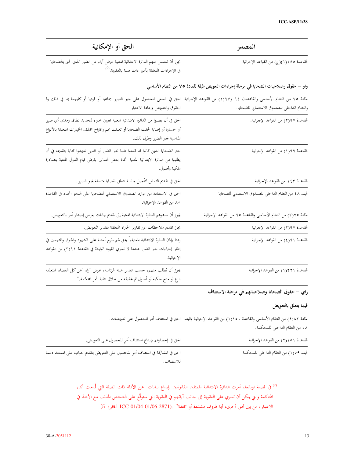| المصدر                                                                                | الحق أو الإمكانية                                                                                                                                                                                            |
|---------------------------------------------------------------------------------------|--------------------------------------------------------------------------------------------------------------------------------------------------------------------------------------------------------------|
| القاعدة ٤٥ ١(١)(ج) من القواعد الإجرائية                                               | يجوز أن تلتمس منهم الدائرة الابتدائية المعنية عرض آراء عن الضرر الذي لحق بالضحايا<br>في الإجراءات المتعلقة بأمور ذات صلة بالعقوبة. <sup>(2)</sup>                                                            |
| واو – حقوق وصلاحيات الضحايا في مرحلة إجراءات التعويض طبقا للمادة ٧٥ من النظام الأساسي |                                                                                                                                                                                                              |
|                                                                                       | المادة ٧٥ من النظام الأساسي والقاعدتان ٩٤ و١٩٧(١) من القواعد الإحرائية  الحق في السعي للحصول على جبر الضرر جماعيا أو فرديا أو كليهما بما في ذلك ردّ                                                          |
| والنظام الداخلي للصندوق الاستئماني للضحايا.                                           | الحقوق والتعويض وإعادة الاعتبار.                                                                                                                                                                             |
| القاعدة ٩٧(٢) من القواعد الإحرائية.                                                   | الحق في أن يطلبوا من الدائرة الابتدائية المعنية تعيين خبراء لتحديد نطاق ومدى أي ضرر<br>أو خسارة أو إصابة لحقت الضحايا أو تعلقت بمم واقتراح مختلف الخيارات المتعلقة بالأنواع<br>المناسبة لجبر الضرر وطرق ذلك. |
| القاعدة ٩٩(١) من القواعد الإحرائية                                                    | حق الضحايا الذين كانوا قد قدموا طلبا بجبر الضرر أو الذين تعهدوا كتابة بتقديمه في أن<br>يطلبوا من الدائرة الابتدائية المعنية اتخاذ بعض التدابير بغرض قيام الدول المعنية بمصادرة<br>ملكية وأصول.               |
| القاعدة ١٤٣ من القواعد الإجرائية                                                      | الحق في تقديم التماس لتأجيل جلسة تتعلق بقضايا متصلة بجبر الضرر.                                                                                                                                              |
| البند ٤٨ من النظام الداخلي للصندوق الاستئماني للضحايا                                 | الحق في الاستفادة من موارد الصندوق الاستئماني للضحايا على النحو المحدد في القاعدة<br>٨٥ من القواعد الإجرائية.                                                                                                |
| المادة ٣)٧٥) من النظام الأساسي والقاعدة ٩٥ من القواعد الإجرائية                       | يجوز أن تدعوهم الدائرة الابتدائية المعنية إلى تقديم بيانات بغرض إصدار أمر بالتعويض.                                                                                                                          |
| القاعدة ٩٧(٢) من القواعد الإجرائية                                                    | يجوز تقديم ملاحظات عن تقارير الخبراء المتعلقة بتقدير التعويض.                                                                                                                                                |
| القاعدة ٩١(٤) من القواعد الإجرائية                                                    | رهنا بإذن الدائرة الابتدائية المعنية، ْ يحق لهم طرح أسئلة على الشهود والخبراء والمتهمين في<br>إطار إجراءات جبر الضرر عندما لا تسري القيود الواردة في القاعدة ٣)٩١( من القواعد<br>الإجرائية.                  |
| القاعدة ٢٢٢١١) من القواعد الإجرائية                                                   | يجوز أن يُطلب منهم، حسب تقدير هيئة الرئاسة، عرض آراء "عن كل القضايا المتعلقة<br>بنزع أو منح ملكية أو أصول تم تحقيقه من خلال تنفيذ أمر المحكمة."                                                              |
|                                                                                       |                                                                                                                                                                                                              |

زاي – حقوق الضحايا وصلاحياتهم في مرحلة الاستئناف

## فيما يتعلق بالتعويض

|                                                                                  | لمادة ٨٢(٤) من النظام الأساسي والقاعدة ١١١٥٠) من القواعد الإجرائية والبند  الحق في استئناف أمر للحصول على تعويضات. |
|----------------------------------------------------------------------------------|--------------------------------------------------------------------------------------------------------------------|
|                                                                                  | ٥٨ من النظام الداخلي للمحكمة.                                                                                      |
| الحق في إخطارهم بإيداع استئناف أمرٍ للحصول على التعويض.                          | القاعدة ٥١(٢) من القواعد الإجرائية                                                                                 |
| الحق في المشاركة في استئناف أمرٍ للحصول على التعويض بتقديم جواب على المستند دعما | البند ٥٩(١) من النظام الداخلي للمحكمة                                                                              |
| للاستئناف.                                                                       |                                                                                                                    |

<sup>(2)</sup> في قضية لوبانغا، أمرت الدائرة الابتدائية الممثلين القانونيين بإيداع بيانات "عن الأدلة ذات الصلة التي قُدمت أثناء المحاكمة والتي يمكن أن تسري على العقوبة إلى جانب آرائهم في العقوبة التي ستوقَّع على الشخص المذنب مع الأخذ في الاعتبار، من بين أمور أخرى، أية ظروف مشددة أو مخففة" .(ICC-01/04-01/06-2871 الفقرة 5)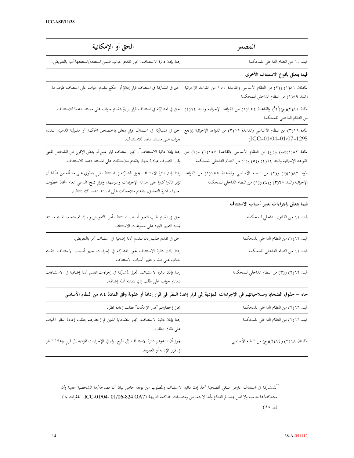| الحق أو الإمكانية                                                                                                                                                                                                                                                                                         | المصدر                                                                                                                        |
|-----------------------------------------------------------------------------------------------------------------------------------------------------------------------------------------------------------------------------------------------------------------------------------------------------------|-------------------------------------------------------------------------------------------------------------------------------|
| رهنا بإذن دائرة الاستئناف، يجوز تقديم جواب ضمن استئنافه/استئنافها أمرا بالتعويض.                                                                                                                                                                                                                          | البند ٦٠ من النظام الداخلي للمحكمة                                                                                            |
|                                                                                                                                                                                                                                                                                                           | فيما يتعلق بأنواع الاستئناف الأخرى                                                                                            |
| المادتان ١٨١١) و(٢) من النظام الأساسي والقاعدة ١٥٠ من القواعد الإجرائية  الحق في المشاركة في استئناف قرارٍ إدانةٍ أو حكمٍ بتقديم جواب على استئناف طرف ما.                                                                                                                                                 | والبند ٩٥(١) من النظام الداخلي للمحكمة                                                                                        |
| المادة ٢٨(٢)(ج)(٦) والقاعدة ١١١٥٤) من القواعد الإجرائية والبند ٦٤(٤)  الحق في المشاركة في استئناف قرارِ براءةٍ بتقديم جواب على مستند دعما للاستئناف.                                                                                                                                                      | من النظام الداخلي للمحكمة                                                                                                     |
| المادة ٣١٩) من النظام الأساسي والقاعدة ٣٥٩) من القواعد الإجرائية (راجع  الحق في المشاركة في استئناف قرارٍ يتعلق باختصاص المحكمة أو مقبولية الدعوى بتقديم<br>جواب على مستند دعما للاستئناف.                                                                                                                | $(ICC-01/04-01/07-1295$                                                                                                       |
| المادة ١٨٢(١)(ب) و(ج) من النظام الأساسي والقاعدة ١٥٤(١) و(٢) من رهنا بإذن دائرة الاستئناف"، يجوز استئناف قرار بمنح أو رفض الإفرج عن الشخص المعني<br>وقرار التصرف بمبادرة منها، بتقديم ملاحظات على المستند دعما للاستئناف.                                                                                 | القواعد الإجرائية والبند ٢٤(٤) و(٥) و(٦) من النظام الداخلي للمحكمة.                                                           |
| المواد ١٨٢(٥)(د) و(٢) من النظام الأساسي والقاعدة ١٥٥(١) من القواعد رهنا بإذن دائرة الاستئناف قبوان اشتئناف قرارٍ ينطوي على مسألة من شأنحا أن<br>تؤثر تأثيرا كبيرا على عدالة الإجراءات وسرعتها، وقرارٍ يمنح المدعي العام اتخاذ خطوات<br>بعينها لمباشرة التحقيق، بتقديم ملاحظات على المستند دعما للاستئناف. | الإحرائية والبند ٢(٢) و(٤) و(٥) من النظام الداخلي للمحكمة                                                                     |
|                                                                                                                                                                                                                                                                                                           | فيما ينعلق بإجراءات تغيير أسباب الاستئناف                                                                                     |
| الحق في تقديم طلب لتغيير أسباب اسئتناف أمر بالتعويض و، إذا تم منحه، تقديم مستند<br>يحدد التغيير الوارد على مسوغات الاستئناف.                                                                                                                                                                              | البند ٦١ من القانون الداخلي للمحكمة                                                                                           |
| الحق في تقديم طلب إذن بتقديم أدلة إضافية في استئناف أمر بالتعويض.                                                                                                                                                                                                                                         | البند ١٦٢(١) من النظام الداخلي للمحكمة                                                                                        |
| رهنا بإذن دائرة الاستئناف تجوز المشاركة في إجراءات تغيير أسباب الاستئناف بتقديم<br>جواب على طلب بتغيير أسباب الاستئناف.                                                                                                                                                                                   | البند ٦١ من النظام الداخلي للمحكمة                                                                                            |
| رهنا بإذن دائرة الاستئناف، تجوز المشاركة في إجراءات تقديم أدلة إضافية في الاستئنافات<br>بتقديم جواب على طلب إذنٍ بتقديم أدلة إضافية.                                                                                                                                                                      | البند ٢٦٢٢) و(٣) من النظام الداخلي للمحكمة                                                                                    |
|                                                                                                                                                                                                                                                                                                           | حاء – حقوق الضحايا وصلاحياتهم في الإجراءات المؤدية إلى قرار إعدة النظر في قرار إدانة أو عقوبة وفق المادة ٨٤ من النظام الأساسي |
| يجوز إخطارهم "قدر الإمكان" بطلب إعادة نظر.                                                                                                                                                                                                                                                                | البند ٢٦(٢) من النظام الداخلي للمحكمة                                                                                         |
| رهنا بإذن دائرة الاستئناف، يجوز للضحايا الذين تم إخطارهم بطلب إعادة النظر الجواب<br>على ذلك الطلب.                                                                                                                                                                                                        | البند ٢٦(٢) من النظام الداخلي للمحكمة                                                                                         |
| يجوز أن تدعوهم دائرة الاستئناف إلى طرح آراء في الإجراءات المؤدية إلى قرارٍ بإعادة النظر<br>في قرار الإدانة أو العقوبة.                                                                                                                                                                                    | المادتان ٢/٦٨) و ٢/٤١(٢)(ج) من النظام الأساسي                                                                                 |

"للمشاركة في استثناف عارض ينبغي للضحية أخذ إذن دائرة الاستثناف والمطلوب من بوجه خاص بيان أن مصالحه/ها الشخصية معنية وأن مشاركته/ها مناسبة ولا تمس بمصالح الدفاع وأنها لا تتعارض ومتطلبات المحاكمة النزيهة (824 OA7-01/04-01/04 الفقرات ٣٨  $(50 \t{d})$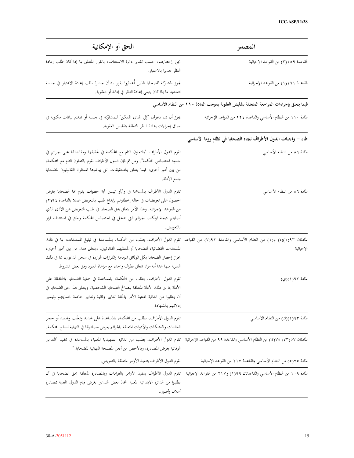| الحق أو الإمكانية                                                                                                                                                                                                                                                                                                                                                                                          | المصدر                                                                                  |
|------------------------------------------------------------------------------------------------------------------------------------------------------------------------------------------------------------------------------------------------------------------------------------------------------------------------------------------------------------------------------------------------------------|-----------------------------------------------------------------------------------------|
| يجوز إخطارهم، حسب تقدير دائرة الاستئناف، بالقرار المتعلق بما إذا كان طلب إعادة<br>النظر جديرا بالاعتبار.                                                                                                                                                                                                                                                                                                   | القاعدة ١٥٩(٣) من القواعد الإجرائية                                                     |
| تجوز المشاركة للضحايا الذين أُخطروا بقرار بشأن حدارة طلب إعادة الاعتبار في حلسة<br>لتحديد ما إذاكان ينبغي إعادة النظر في إدانة أو العقوبة.                                                                                                                                                                                                                                                                 | القاعدة ١٦١(١) من القواعد الإجرائية                                                     |
|                                                                                                                                                                                                                                                                                                                                                                                                            | فيما يتعلق بإجراءات المراجعة المتعلفة بتقليص العقوبة بموجب المادة ١١٠ من النظام الأساسي |
| يجوز أن تتم دعوتهم "إلى المدى الممكن" للمشاركة في جلسة أو تقديم بيانات مكتوبة في<br>سياق إجراءات إعادة النظر المتعلقة بتقليص العقوبة.                                                                                                                                                                                                                                                                      | المادة ١١٠ من النظام الأساسي والقاعدة ٢٢٤ من القواعد الإجرائية                          |
|                                                                                                                                                                                                                                                                                                                                                                                                            | طاء – واجبات الدول الأطراف تجاه الضحايا في نظام روما الأساسي                            |
| تقوم الدول الأطراف "بالتعاون التام مع المحكمة في تحقيقها ومقاضاتها على الجرائم في<br>حدود اختصاص المحكمة". ومن ثم فإن الدول الأطراف تقوم بالتعاون التام مع المحكمة،<br>من بين أمور أخرى، فيما يتعلق بالتحقيقات التي يباشرها الممثلون القانونيون للضحايا<br>لجمع الأدلة.                                                                                                                                    | المادة ٨٦ من النظام الأساسي                                                             |
| تقوم الدول الأطراف بالمساهمة في و/أو تيسير أية خطوات يقوم بما الضحايا بغرض<br>الحصول على تعويضات في حالة إخطارهم بإيداع طلب بالتعويض عملا بالقاعدة ٩٤(٢)<br>من القواعد الإجرائية. وهذا الأمر يتعلق بحق الضحايا في طلب التعويض عن الأذى الذي<br>أصابَحم نتيجة ارتكاب الجرائم التي تدخل في اختصاص المحكمة والحق في استئناف قرار<br>بالتعويض.                                                                 | المادة ٨٦ من النظام الأساسي                                                             |
| المادتان ١/١٩٢(د) و(١) من النظام الأساسي والقاعدة ٩٢(٧) من القواعد تقوم الدول الأطراف، بطلب من المحكمة، بالمساعدة في تبليغ المستندات، بما في ذلك<br>المستندات القضائية، للضحايا أو لممثليهم القانونيين. ويتعلق هذا، من بين أمور أخرى،<br>بجواز إخطار الضحايا بكل الوثائق المودعة والقرارات الواردة في سحل الدعوى، بما في ذلك<br>السرية منها عدا أية مواد تتعلق بطرف واحد، مع مراعاة القيود وفق بعض الشروط. | الإجرائية                                                                               |
| تقوم الدول الأطراف، بطلب من المحكمة، بالمساعدة في حماية الضحايا والمحافظة على<br>الأدلة بما ي ذلك الأدلة المتعلقة بمصالح الضحايا الشخصية. ويتعلق هذا بحق الضحايا في<br>أن يطلبوا من الدائرة المعنية الأمر باتخاذ تدابير وقائية وتدابير خاصة لحمايتهم وتيسير<br>إدلائهم بالشهادة.                                                                                                                           | المادة ١٩٢(١)(ي)                                                                        |
| تقوم الدول الأطراف، بطلب من المحكمة، بالمساعدة على تحديد وتعقَّب وتجميد أو ححز<br>العائدات والممتلكات والأدوات المتعلقة بالجرائم بغرض مصادرتها في النهاية لصالح المحكمة.                                                                                                                                                                                                                                   | المادة ٩٣(١)(ك) من النظام الأساسي                                                       |
| المادتان ٣١٥٧) و ٤٧٥٤) من النظام الأساسى والقاعدة ٩٩ من القواعد الإحرائية   تقوم الدول الأطراف، يطلب من الدائرة التمهيدية المعنية، بالمساعدة في تنفيذ "التدابير<br>الوقائية بغرض المصادرة، وبالأخص من أجل المصلحة النهائية للضحايا."                                                                                                                                                                       |                                                                                         |
| تقوم الدول الأطراف بتنفيذ الأوامر المتعلقة بالتعويض.                                                                                                                                                                                                                                                                                                                                                       | المادة ٧٥(٥) من النظام الأساسي والقاعدة ٢١٧ من القواعد الإجرائية                        |
| المادة ١٠٩ من النظام الأساسي والقاعدتان ١١٩(١) و٢١٧ من القواعد الإجرائية   تقوم الدول الأطراف بتنفيذ الأوامر بالغرامات وبالمصادرة المتعلقة بحق الضحايا في أن<br>يطلبوا من الدائرة الابتدائية المعنية اتخاذ بعض التدابير بغرض قيام الدول المعنية بمصادرة<br>أملاك وأصول.                                                                                                                                    |                                                                                         |